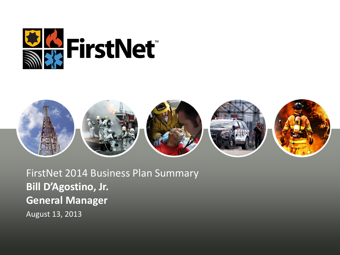



FirstNet 2014 Business Plan Summary **Bill D'Agostino, Jr. General Manager** August 13, 2013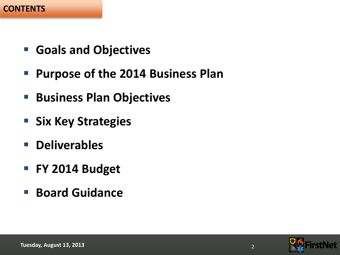#### **CONTENTS**

- **Goals and Objectives**
- **Purpose of the 2014 Business Plan**
- **Business Plan Objectives**
- **Six Key Strategies**
- **Deliverables**
- **FY 2014 Budget**
- **Board Guidance**

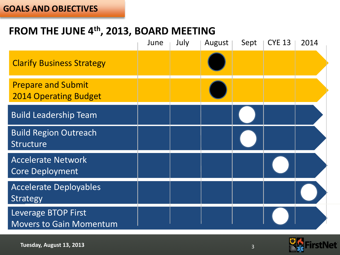#### **GOALS AND OBJECTIVES**

# **FROM THE JUNE 4th, 2013, BOARD MEETING**

|                                                           | June | July | August | Sept | <b>CYE 13</b> | 2014 |
|-----------------------------------------------------------|------|------|--------|------|---------------|------|
| <b>Clarify Business Strategy</b>                          |      |      |        |      |               |      |
| <b>Prepare and Submit</b><br><b>2014 Operating Budget</b> |      |      |        |      |               |      |
| <b>Build Leadership Team</b>                              |      |      |        |      |               |      |
| <b>Build Region Outreach</b><br><b>Structure</b>          |      |      |        |      |               |      |
| <b>Accelerate Network</b><br><b>Core Deployment</b>       |      |      |        |      |               |      |
| <b>Accelerate Deployables</b><br><b>Strategy</b>          |      |      |        |      |               |      |
| Leverage BTOP First<br><b>Movers to Gain Momentum</b>     |      |      |        |      |               |      |

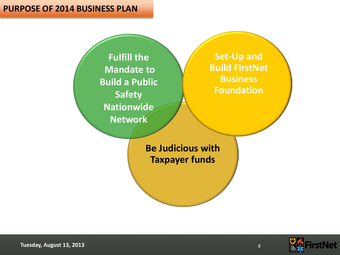#### **PURPOSE OF 2014 BUSINESS PLAN**

**Fulfill the Mandate to Build a Public Safety Nationwide Network**

**Set-Up and Build FirstNet Business Foundation**

**Be Judicious with Taxpayer funds**



**Tuesday, August 13, 2013** 4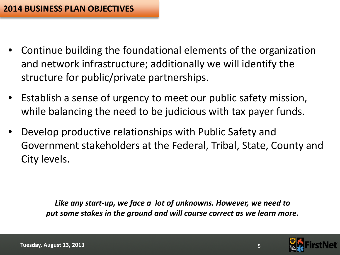- Continue building the foundational elements of the organization and network infrastructure; additionally we will identify the structure for public/private partnerships.
- Establish a sense of urgency to meet our public safety mission, while balancing the need to be judicious with tax payer funds.
- Develop productive relationships with Public Safety and Government stakeholders at the Federal, Tribal, State, County and City levels.

*Like any start-up, we face a lot of unknowns. However, we need to put some stakes in the ground and will course correct as we learn more.*

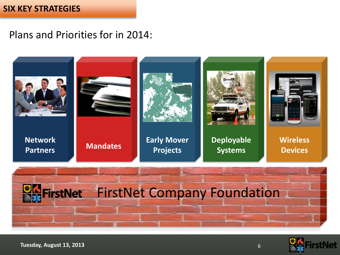#### **SIX KEY STRATEGIES**

Plans and Priorities for in 2014:







**Tuesday, August 13, 2013** 6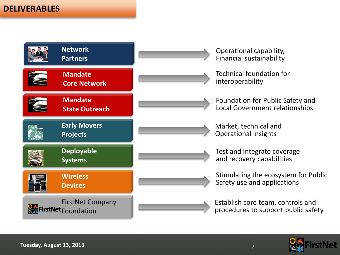### **DELIVERABLES**



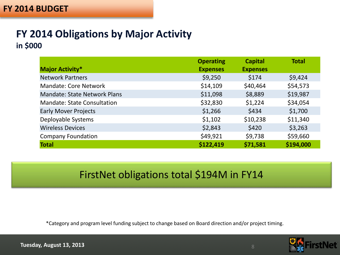### **FY 2014 BUDGET**

### **FY 2014 Obligations by Major Activity in \$000**

|                                     | <b>Operating</b> | <b>Capital</b>  | <b>Total</b> |
|-------------------------------------|------------------|-----------------|--------------|
| <b>Major Activity*</b>              | <b>Expenses</b>  | <b>Expenses</b> |              |
| <b>Network Partners</b>             | \$9,250          | \$174           | \$9,424      |
| <b>Mandate: Core Network</b>        | \$14,109         | \$40,464        | \$54,573     |
| <b>Mandate: State Network Plans</b> | \$11,098         | \$8,889         | \$19,987     |
| <b>Mandate: State Consultation</b>  | \$32,830         | \$1,224         | \$34,054     |
| <b>Early Mover Projects</b>         | \$1,266          | \$434           | \$1,700      |
| Deployable Systems                  | \$1,102          | \$10,238        | \$11,340     |
| <b>Wireless Devices</b>             | \$2,843          | \$420           | \$3,263      |
| <b>Company Foundation</b>           | \$49,921         | \$9,738         | \$59,660     |
| <b>Total</b>                        | \$122,419        | \$71,581        | \$194,000    |

## FirstNet obligations total \$194M in FY14

\*Category and program level funding subject to change based on Board direction and/or project timing.

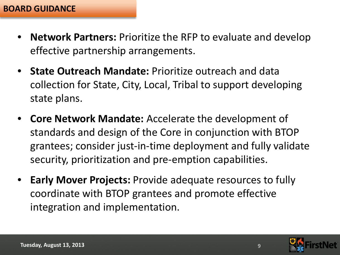- **Network Partners:** Prioritize the RFP to evaluate and develop effective partnership arrangements.
- **State Outreach Mandate:** Prioritize outreach and data collection for State, City, Local, Tribal to support developing state plans.
- **Core Network Mandate:** Accelerate the development of standards and design of the Core in conjunction with BTOP grantees; consider just-in-time deployment and fully validate security, prioritization and pre-emption capabilities.
- **Early Mover Projects:** Provide adequate resources to fully coordinate with BTOP grantees and promote effective integration and implementation.